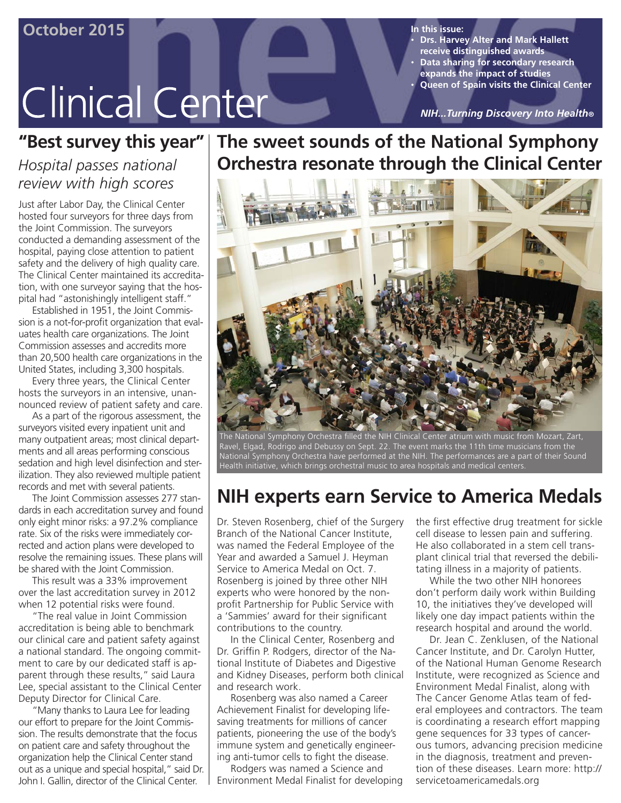# **Clinical Center**

• **Drs. Harvey Alter and Mark Hallett receive distinguished awards** • **Data sharing for secondary research expands the impact of studies** • **Queen of Spain visits the Clinical Center**

*NIH...Turning Discovery Into Health®*

### **"Best survey this year"**

### *Hospital passes national review with high scores*

Just after Labor Day, the Clinical Center hosted four surveyors for three days from the Joint Commission. The surveyors conducted a demanding assessment of the hospital, paying close attention to patient safety and the delivery of high quality care. The Clinical Center maintained its accreditation, with one surveyor saying that the hospital had "astonishingly intelligent staff."

Established in 1951, the Joint Commission is a not-for-profit organization that evaluates health care organizations. The Joint Commission assesses and accredits more than 20,500 health care organizations in the United States, including 3,300 hospitals.

Every three years, the Clinical Center hosts the surveyors in an intensive, unannounced review of patient safety and care.

As a part of the rigorous assessment, the surveyors visited every inpatient unit and many outpatient areas; most clinical departments and all areas performing conscious sedation and high level disinfection and sterilization. They also reviewed multiple patient records and met with several patients.

The Joint Commission assesses 277 standards in each accreditation survey and found only eight minor risks: a 97.2% compliance rate. Six of the risks were immediately corrected and action plans were developed to resolve the remaining issues. These plans will be shared with the Joint Commission.

This result was a 33% improvement over the last accreditation survey in 2012 when 12 potential risks were found.

"The real value in Joint Commission accreditation is being able to benchmark our clinical care and patient safety against a national standard. The ongoing commitment to care by our dedicated staff is apparent through these results," said Laura Lee, special assistant to the Clinical Center Deputy Director for Clinical Care.

"Many thanks to Laura Lee for leading our effort to prepare for the Joint Commission. The results demonstrate that the focus on patient care and safety throughout the organization help the Clinical Center stand out as a unique and special hospital," said Dr. John I. Gallin, director of the Clinical Center.

### **The sweet sounds of the National Symphony Orchestra resonate through the Clinical Center**



The National Symphony Orchestra filled the NIH Clinical Center atrium with music from Mozart, Zart, Ravel, Elgad, Rodrigo and Debussy on Sept. 22. The event marks the 11th time musicians from the National Symphony Orchestra have performed at the NIH. The performances are a part of their Sound Health initiative, which brings orchestral music to area hospitals and medical centers.

### **NIH experts earn Service to America Medals**

Dr. Steven Rosenberg, chief of the Surgery Branch of the National Cancer Institute, was named the Federal Employee of the Year and awarded a Samuel J. Heyman Service to America Medal on Oct. 7. Rosenberg is joined by three other NIH experts who were honored by the nonprofit Partnership for Public Service with a 'Sammies' award for their significant contributions to the country.

In the Clinical Center, Rosenberg and Dr. Griffin P. Rodgers, director of the National Institute of Diabetes and Digestive and Kidney Diseases, perform both clinical and research work.

Rosenberg was also named a Career Achievement Finalist for developing lifesaving treatments for millions of cancer patients, pioneering the use of the body's immune system and genetically engineering anti-tumor cells to fight the disease.

Rodgers was named a Science and Environment Medal Finalist for developing the first effective drug treatment for sickle cell disease to lessen pain and suffering. He also collaborated in a stem cell transplant clinical trial that reversed the debilitating illness in a majority of patients.

While the two other NIH honorees don't perform daily work within Building 10, the initiatives they've developed will likely one day impact patients within the research hospital and around the world.

Dr. Jean C. Zenklusen, of the National Cancer Institute, and Dr. Carolyn Hutter, of the National Human Genome Research Institute, were recognized as Science and Environment Medal Finalist, along with The Cancer Genome Atlas team of federal employees and contractors. The team is coordinating a research effort mapping gene sequences for 33 types of cancerous tumors, advancing precision medicine in the diagnosis, treatment and prevention of these diseases. Learn more: http:// servicetoamericamedals.org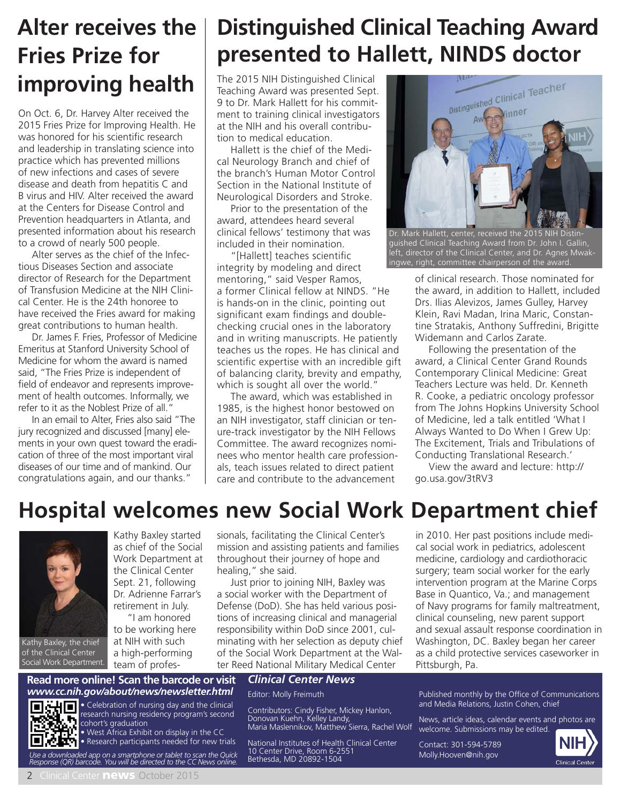## **Alter receives the Fries Prize for improving health**

On Oct. 6, Dr. Harvey Alter received the 2015 Fries Prize for Improving Health. He was honored for his scientific research and leadership in translating science into practice which has prevented millions of new infections and cases of severe disease and death from hepatitis C and B virus and HIV. Alter received the award at the Centers for Disease Control and Prevention headquarters in Atlanta, and presented information about his research to a crowd of nearly 500 people.

Alter serves as the chief of the Infectious Diseases Section and associate director of Research for the Department of Transfusion Medicine at the NIH Clinical Center. He is the 24th honoree to have received the Fries award for making great contributions to human health.

Dr. James F. Fries, Professor of Medicine Emeritus at Stanford University School of Medicine for whom the award is named said, "The Fries Prize is independent of field of endeavor and represents improvement of health outcomes. Informally, we refer to it as the Noblest Prize of all."

In an email to Alter, Fries also said "The jury recognized and discussed [many] elements in your own quest toward the eradication of three of the most important viral diseases of our time and of mankind. Our congratulations again, and our thanks."

## **Distinguished Clinical Teaching Award presented to Hallett, NINDS doctor**

The 2015 NIH Distinguished Clinical Teaching Award was presented Sept. 9 to Dr. Mark Hallett for his commitment to training clinical investigators at the NIH and his overall contribution to medical education.

Hallett is the chief of the Medical Neurology Branch and chief of the branch's Human Motor Control Section in the National Institute of Neurological Disorders and Stroke.

Prior to the presentation of the award, attendees heard several clinical fellows' testimony that was included in their nomination.

"[Hallett] teaches scientific integrity by modeling and direct mentoring," said Vesper Ramos, a former Clinical fellow at NINDS. "He is hands-on in the clinic, pointing out significant exam findings and doublechecking crucial ones in the laboratory and in writing manuscripts. He patiently teaches us the ropes. He has clinical and scientific expertise with an incredible gift of balancing clarity, brevity and empathy, which is sought all over the world."

The award, which was established in 1985, is the highest honor bestowed on an NIH investigator, staff clinician or tenure-track investigator by the NIH Fellows Committee. The award recognizes nominees who mentor health care professionals, teach issues related to direct patient care and contribute to the advancement



Dr. Mark Hallett, center, received the 2015 NIH Distinguished Clinical Teaching Award from Dr. John I. Gallin, left, director of the Clinical Center, and Dr. Agnes Mwakingwe, right, committee chairperson of the award.

of clinical research. Those nominated for the award, in addition to Hallett, included Drs. Ilias Alevizos, James Gulley, Harvey Klein, Ravi Madan, Irina Maric, Constantine Stratakis, Anthony Suffredini, Brigitte Widemann and Carlos Zarate.

Following the presentation of the award, a Clinical Center Grand Rounds Contemporary Clinical Medicine: Great Teachers Lecture was held. Dr. Kenneth R. Cooke, a pediatric oncology professor from The Johns Hopkins University School of Medicine, led a talk entitled 'What I Always Wanted to Do When I Grew Up: The Excitement, Trials and Tribulations of Conducting Translational Research.'

View the award and lecture: http:// go.usa.gov/3tRV3

## **Hospital welcomes new Social Work Department chief**



Kathy Baxley, the chief of the Clinical Center Social Work Department.

Kathy Baxley started as chief of the Social Work Department at the Clinical Center Sept. 21, following Dr. Adrienne Farrar's retirement in July. "I am honored

to be working here at NIH with such a high-performing team of professionals, facilitating the Clinical Center's mission and assisting patients and families throughout their journey of hope and healing," she said.

Just prior to joining NIH, Baxley was a social worker with the Department of Defense (DoD). She has held various positions of increasing clinical and managerial responsibility within DoD since 2001, culminating with her selection as deputy chief of the Social Work Department at the Walter Reed National Military Medical Center

in 2010. Her past positions include medical social work in pediatrics, adolescent medicine, cardiology and cardiothoracic surgery; team social worker for the early intervention program at the Marine Corps Base in Quantico, Va.; and management of Navy programs for family maltreatment, clinical counseling, new parent support and sexual assault response coordination in Washington, DC. Baxley began her career as a child protective services caseworker in Pittsburgh, Pa.

#### **Read more online! Scan the barcode or visit** *Clinical Center News www.cc.nih.gov/about/news/newsletter.html*



• Celebration of nursing day and the clinical research nursing residency program's second cohort's graduation • West Africa Exhibit on display in the CC

• Research participants needed for new trials *Use a downloaded app on a smartphone or tablet to scan the Quick Response (QR) barcode. You will be directed to the CC News online.*

Editor: Molly Freimuth

Contributors: Cindy Fisher, Mickey Hanlon, Donovan Kuehn, Kelley Landy, Maria Maslennikov, Matthew Sierra, Rachel Wolf

National Institutes of Health Clinical Center 10 Center Drive, Room 6-2551 Bethesda, MD 20892-1504

Published monthly by the Office of Communications and Media Relations, Justin Cohen, chief

News, article ideas, calendar events and photos are welcome. Submissions may be edited.

Contact: 301-594-5789 Molly.Hooven@nih.gov

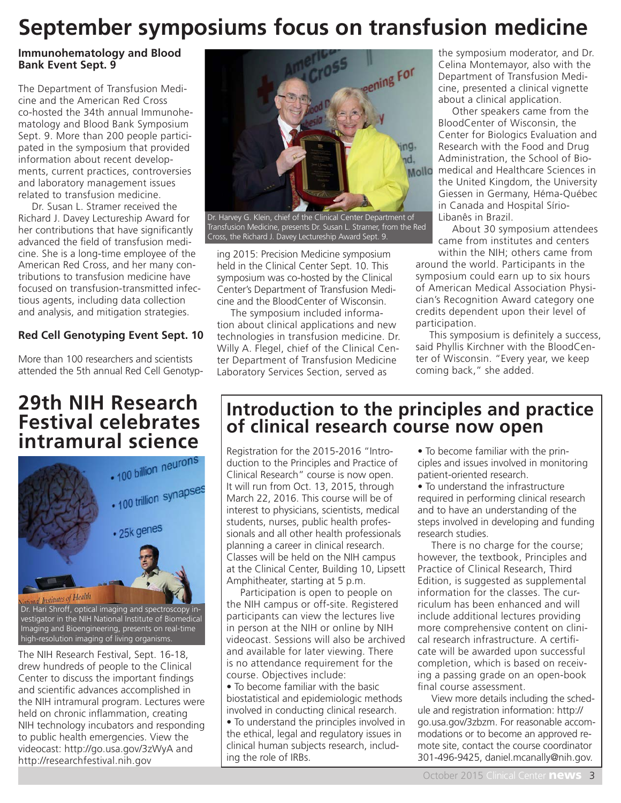## **September symposiums focus on transfusion medicine**

### **Immunohematology and Blood Bank Event Sept. 9**

The Department of Transfusion Medicine and the American Red Cross co-hosted the 34th annual Immunohematology and Blood Bank Symposium Sept. 9. More than 200 people participated in the symposium that provided information about recent developments, current practices, controversies and laboratory management issues related to transfusion medicine.

Dr. Susan L. Stramer received the Richard J. Davey Lectureship Award for her contributions that have significantly advanced the field of transfusion medicine. She is a long-time employee of the American Red Cross, and her many contributions to transfusion medicine have focused on transfusion-transmitted infectious agents, including data collection and analysis, and mitigation strategies.

### **Red Cell Genotyping Event Sept. 10**

More than 100 researchers and scientists attended the 5th annual Red Cell Genotyp-

## **29th NIH Research Festival celebrates**



vestigator in the NIH National Institute of Biomedical Imaging and Bioengineering, presents on real-time high-resolution imaging of living organisms.

The NIH Research Festival, Sept. 16-18, drew hundreds of people to the Clinical Center to discuss the important findings and scientific advances accomplished in the NIH intramural program. Lectures were held on chronic inflammation, creating NIH technology incubators and responding to public health emergencies. View the videocast: http://go.usa.gov/3zWyA and http://researchfestival.nih.gov



Dr. Harvey G. Klein, chief of the Clinical Center Department of Transfusion Medicine, presents Dr. Susan L. Stramer, from the Red Cross, the Richard J. Davey Lectureship Award Sept. 9.

ing 2015: Precision Medicine symposium held in the Clinical Center Sept. 10. This symposium was co-hosted by the Clinical Center's Department of Transfusion Medicine and the BloodCenter of Wisconsin.

The symposium included information about clinical applications and new technologies in transfusion medicine. Dr. Willy A. Flegel, chief of the Clinical Center Department of Transfusion Medicine Laboratory Services Section, served as

the symposium moderator, and Dr. Celina Montemayor, also with the Department of Transfusion Medicine, presented a clinical vignette about a clinical application.

Other speakers came from the BloodCenter of Wisconsin, the Center for Biologics Evaluation and Research with the Food and Drug Administration, the School of Biomedical and Healthcare Sciences in the United Kingdom, the University Giessen in Germany, Héma-Québec in Canada and Hospital Sírio-Libanês in Brazil.

About 30 symposium attendees came from institutes and centers

within the NIH; others came from around the world. Participants in the symposium could earn up to six hours of American Medical Association Physician's Recognition Award category one credits dependent upon their level of participation.

This symposium is definitely a success, said Phyllis Kirchner with the BloodCenter of Wisconsin. "Every year, we keep coming back," she added.

### **Introduction to the principles and practice of clinical research course now open**

Registration for the 2015-2016 "Introduction to the Principles and Practice of Clinical Research" course is now open. It will run from Oct. 13, 2015, through March 22, 2016. This course will be of interest to physicians, scientists, medical students, nurses, public health professionals and all other health professionals planning a career in clinical research. Classes will be held on the NIH campus at the Clinical Center, Building 10, Lipsett Amphitheater, starting at 5 p.m.

Participation is open to people on the NIH campus or off-site. Registered participants can view the lectures live in person at the NIH or online by NIH videocast. Sessions will also be archived and available for later viewing. There is no attendance requirement for the course. Objectives include:

• To become familiar with the basic biostatistical and epidemiologic methods involved in conducting clinical research. • To understand the principles involved in the ethical, legal and regulatory issues in clinical human subjects research, including the role of IRBs.

• To become familiar with the principles and issues involved in monitoring patient-oriented research.

• To understand the infrastructure required in performing clinical research and to have an understanding of the steps involved in developing and funding research studies.

There is no charge for the course; however, the textbook, Principles and Practice of Clinical Research, Third Edition, is suggested as supplemental information for the classes. The curriculum has been enhanced and will include additional lectures providing more comprehensive content on clinical research infrastructure. A certificate will be awarded upon successful completion, which is based on receiving a passing grade on an open-book final course assessment.

View more details including the schedule and registration information: http:// go.usa.gov/3zbzm. For reasonable accommodations or to become an approved remote site, contact the course coordinator 301-496-9425, daniel.mcanally@nih.gov.